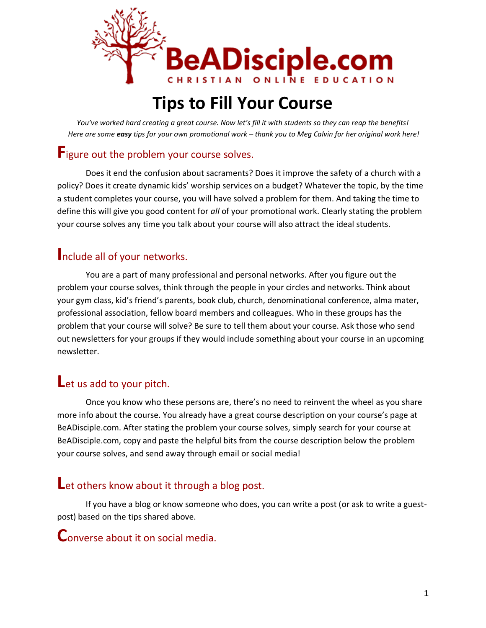

# **Tips to Fill Your Course**

*You've worked hard creating a great course. Now let's fill it with students so they can reap the benefits! Here are some easy tips for your own promotional work – thank you to Meg Calvin for her original work here!*

# **F**igure out the problem your course solves.

Does it end the confusion about sacraments? Does it improve the safety of a church with a policy? Does it create dynamic kids' worship services on a budget? Whatever the topic, by the time a student completes your course, you will have solved a problem for them. And taking the time to define this will give you good content for *all* of your promotional work. Clearly stating the problem your course solves any time you talk about your course will also attract the ideal students.

### **I**nclude all of your networks.

You are a part of many professional and personal networks. After you figure out the problem your course solves, think through the people in your circles and networks. Think about your gym class, kid's friend's parents, book club, church, denominational conference, alma mater, professional association, fellow board members and colleagues. Who in these groups has the problem that your course will solve? Be sure to tell them about your course. Ask those who send out newsletters for your groups if they would include something about your course in an upcoming newsletter.

# **L**et us add to your pitch.

Once you know who these persons are, there's no need to reinvent the wheel as you share more info about the course. You already have a great course description on your course's page at BeADisciple.com. After stating the problem your course solves, simply search for your course at BeADisciple.com, copy and paste the helpful bits from the course description below the problem your course solves, and send away through email or social media!

### Let others know about it through a blog post.

If you have a blog or know someone who does, you can write a post (or ask to write a guestpost) based on the tips shared above.

### **C**onverse about it on social media.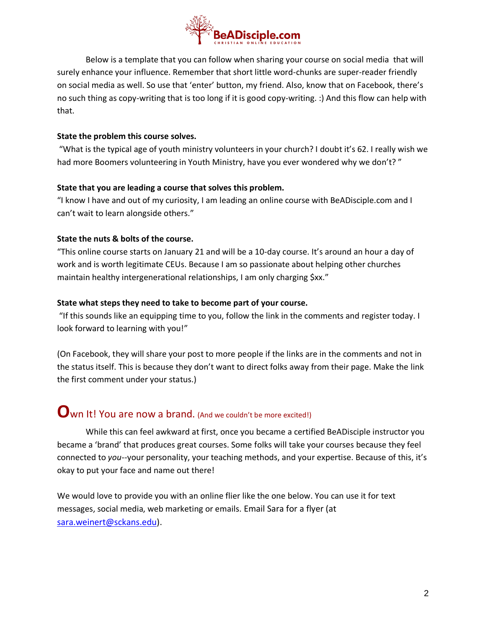

Below is a template that you can follow when sharing your course on social media that will surely enhance your influence. Remember that short little word-chunks are super-reader friendly on social media as well. So use that 'enter' button, my friend. Also, know that on Facebook, there's no such thing as copy-writing that is too long if it is good copy-writing. :) And this flow can help with that.

#### **State the problem this course solves.**

"What is the typical age of youth ministry volunteers in your church? I doubt it's 62. I really wish we had more Boomers volunteering in Youth Ministry, have you ever wondered why we don't? "

#### **State that you are leading a course that solves this problem.**

"I know I have and out of my curiosity, I am leading an online course with BeADisciple.com and I can't wait to learn alongside others."

#### **State the nuts & bolts of the course.**

"This online course starts on January 21 and will be a 10-day course. It's around an hour a day of work and is worth legitimate CEUs. Because I am so passionate about helping other churches maintain healthy intergenerational relationships, I am only charging \$xx."

#### **State what steps they need to take to become part of your course.**

"If this sounds like an equipping time to you, follow the link in the comments and register today. I look forward to learning with you!"

(On Facebook, they will share your post to more people if the links are in the comments and not in the status itself. This is because they don't want to direct folks away from their page. Make the link the first comment under your status.)

# **O**wn It! You are now a brand. (And we couldn't be more excited!)

While this can feel awkward at first, once you became a certified BeADisciple instructor you became a 'brand' that produces great courses. Some folks will take your courses because they feel connected to *you*--your personality, your teaching methods, and your expertise. Because of this, it's okay to put your face and name out there!

We would love to provide you with an online flier like the one below. You can use it for text messages, social media, web marketing or emails. Email Sara for a flyer (at [sara.weinert@sckans.edu\)](mailto:sara.weinert@sckans.edu).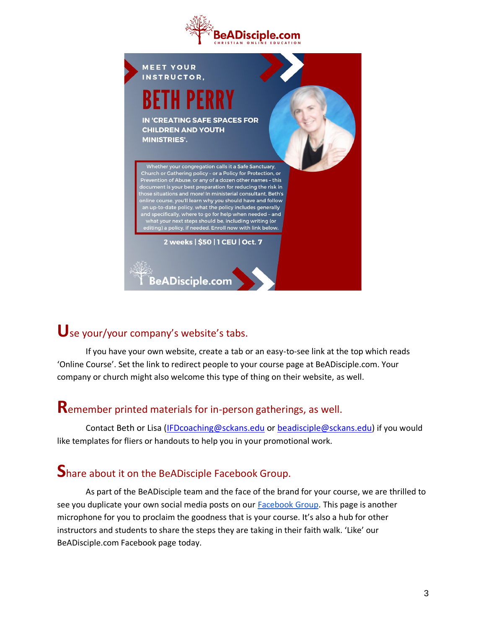



# **U**se your/your company's website's tabs.

If you have your own website, create a tab or an easy-to-see link at the top which reads 'Online Course'. Set the link to redirect people to your course page at BeADisciple.com. Your company or church might also welcome this type of thing on their website, as well.

# **R**emember printed materials for in-person gatherings, as well.

Contact Beth or Lisa [\(IFDcoaching@sckans.edu](mailto:IFDcoaching@sckans.edu) or [beadisciple@sckans.edu\)](mailto:beadisciple@sckans.edu) if you would like templates for fliers or handouts to help you in your promotional work.

# **S**hare about it on the BeADisciple Facebook Group.

As part of the BeADisciple team and the face of the brand for your course, we are thrilled to see you duplicate your own social media posts on our [Facebook Group.](https://www.facebook.com/groups/BeADisciple/) This page is another microphone for you to proclaim the goodness that is your course. It's also a hub for other instructors and students to share the steps they are taking in their faith walk. 'Like' our BeADisciple.com Facebook page today.